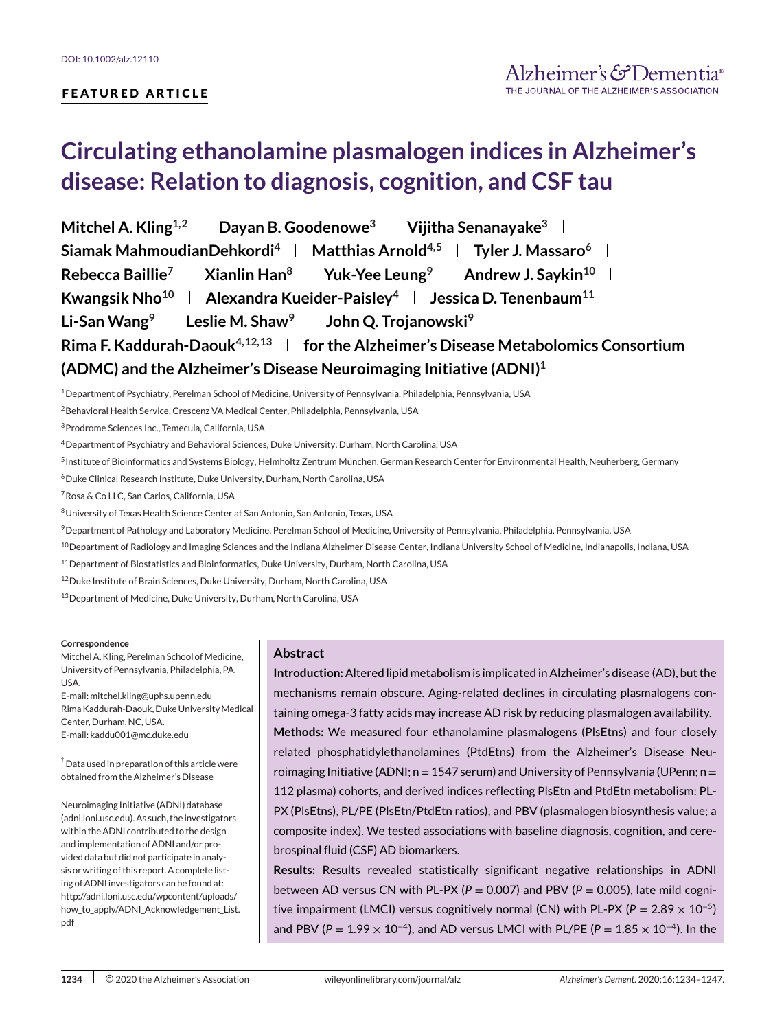## **FEATURED ARTICLE**

# **Circulating ethanolamine plasmalogen indices in Alzheimer's disease: Relation to diagnosis, cognition, and CSF tau**

**Mitchel A. Kling**<sup>1,2</sup> **Dayan B. Goodenowe<sup>3</sup> | Vijitha Senanayake<sup>3</sup> | Siamak MahmoudianDehkordi**<sup>4</sup> **Matthias Arnold**<sup>4,5</sup> **Tyler J. Massaro**<sup>6</sup> **L Rebecca Baillie<sup>7</sup> | Xianlin Han<sup>8</sup> | Yuk-Yee Leung<sup>9</sup> | Andrew J. Saykin<sup>10</sup> | Kwangsik Nho<sup>10</sup> | Alexandra Kueider-Paisley<sup>4</sup> | Jessica D. Tenenbaum<sup>11</sup> | Li-San Wang**<sup>9</sup> **Leslie M. Shaw**<sup>9</sup> **L** John Q. Trojanowski<sup>9</sup> L **Rima F. Kaddurah-Daouk4,12,13 for the Alzheimer's Disease Metabolomics Consortium (ADMC) and the Alzheimer's Disease Neuroimaging Initiative (ADNI)1**

1Department of Psychiatry, Perelman School of Medicine, University of Pennsylvania, Philadelphia, Pennsylvania, USA

2Behavioral Health Service, Crescenz VA Medical Center, Philadelphia, Pennsylvania, USA

3Prodrome Sciences Inc., Temecula, California, USA

4Department of Psychiatry and Behavioral Sciences, Duke University, Durham, North Carolina, USA

5Institute of Bioinformatics and Systems Biology, Helmholtz Zentrum München, German Research Center for Environmental Health, Neuherberg, Germany

6Duke Clinical Research Institute, Duke University, Durham, North Carolina, USA

7Rosa & Co LLC, San Carlos, California, USA

8University of Texas Health Science Center at San Antonio, San Antonio, Texas, USA

9Department of Pathology and Laboratory Medicine, Perelman School of Medicine, University of Pennsylvania, Philadelphia, Pennsylvania, USA

<sup>10</sup> Department of Radiology and Imaging Sciences and the Indiana Alzheimer Disease Center, Indiana University School of Medicine, Indianapolis, Indiana, USA

11Department of Biostatistics and Bioinformatics, Duke University, Durham, North Carolina, USA

12Duke Institute of Brain Sciences, Duke University, Durham, North Carolina, USA

13Department of Medicine, Duke University, Durham, North Carolina, USA

#### **Correspondence**

Mitchel A. Kling, Perelman School of Medicine, University of Pennsylvania, Philadelphia, PA, USA.

E-mail: mitchel.kling@uphs.upenn.edu Rima Kaddurah-Daouk, Duke University Medical Center, Durham, NC, USA. E-mail: kaddu001@mc.duke.edu

 $^\dagger$  Data used in preparation of this article were obtained from the Alzheimer's Disease

Neuroimaging Initiative (ADNI) database (adni.loni.usc.edu). As such, the investigators within the ADNI contributed to the design and implementation of ADNI and/or provided data but did not participate in analysis or writing of this report. A complete listing of ADNI investigators can be found at: [http://adni.loni.usc.edu/wpcontent/uploads/](http://adni.loni.usc.edu/wpcontent/uploads/how_to_apply/ADNI_Acknowledgement_List.pdf) [how\\_to\\_apply/ADNI\\_Acknowledgement\\_List.](http://adni.loni.usc.edu/wpcontent/uploads/how_to_apply/ADNI_Acknowledgement_List.pdf) [pdf](http://adni.loni.usc.edu/wpcontent/uploads/how_to_apply/ADNI_Acknowledgement_List.pdf)

## **Abstract**

**Introduction:**Altered lipid metabolism is implicated in Alzheimer's disease (AD), but the mechanisms remain obscure. Aging-related declines in circulating plasmalogens containing omega-3 fatty acids may increase AD risk by reducing plasmalogen availability. **Methods:** We measured four ethanolamine plasmalogens (PlsEtns) and four closely related phosphatidylethanolamines (PtdEtns) from the Alzheimer's Disease Neuroimaging Initiative (ADNI; n=1547 serum) and University of Pennsylvania (UPenn; n= 112 plasma) cohorts, and derived indices reflecting PlsEtn and PtdEtn metabolism: PL-PX (PlsEtns), PL/PE (PlsEtn/PtdEtn ratios), and PBV (plasmalogen biosynthesis value; a composite index). We tested associations with baseline diagnosis, cognition, and cerebrospinal fluid (CSF) AD biomarkers.

**Results:** Results revealed statistically significant negative relationships in ADNI between AD versus CN with PL-PX ( $P = 0.007$ ) and PBV ( $P = 0.005$ ), late mild cognitive impairment (LMCI) versus cognitively normal (CN) with PL-PX ( $P = 2.89 \times 10^{-5}$ ) and PBV ( $P = 1.99 \times 10^{-4}$ ), and AD versus LMCI with PL/PE ( $P = 1.85 \times 10^{-4}$ ). In the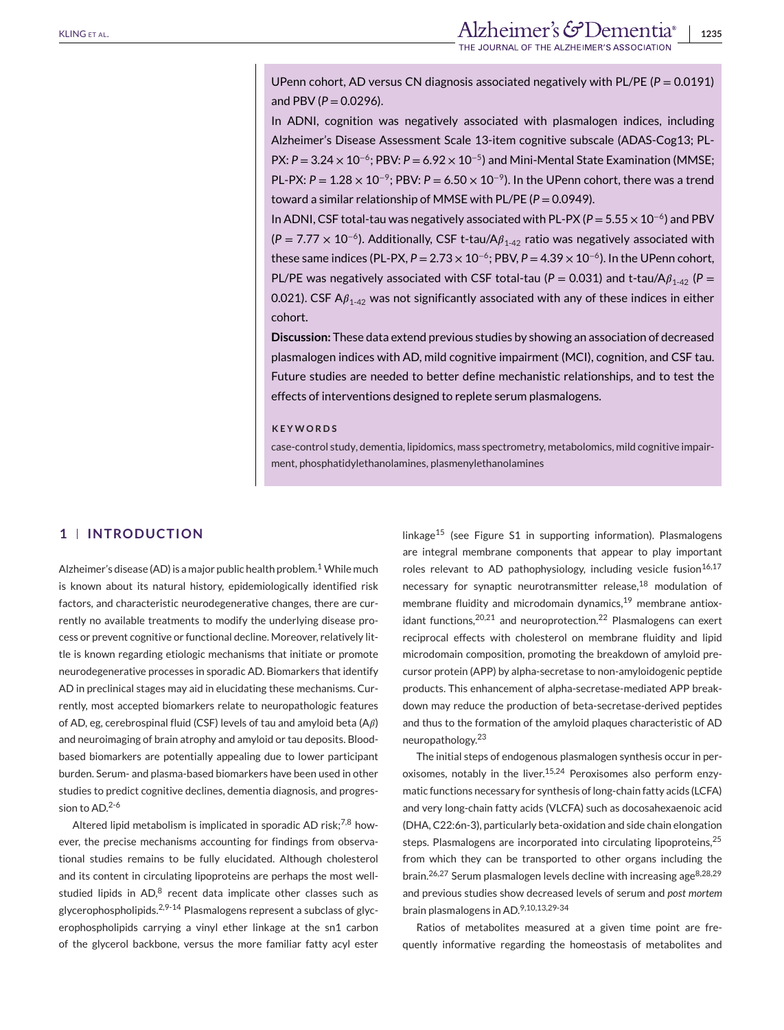UPenn cohort, AD versus CN diagnosis associated negatively with PL/PE (*P* = 0.0191) and PBV ( $P = 0.0296$ ).

In ADNI, cognition was negatively associated with plasmalogen indices, including Alzheimer's Disease Assessment Scale 13-item cognitive subscale (ADAS-Cog13; PL-PX: *P* = 3.24 × 10<sup>-6</sup>; PBV: *P* = 6.92 × 10<sup>-5</sup>) and Mini-Mental State Examination (MMSE; PL-PX: *P* = 1.28 × 10<sup>-9</sup>; PBV: *P* = 6.50 × 10<sup>-9</sup>). In the UPenn cohort, there was a trend toward a similar relationship of MMSE with PL/PE ( $P = 0.0949$ ).

In ADNI, CSF total-tau was negatively associated with PL-PX (*P* = 5.55 × 10<sup>−</sup>6) and PBV  $(P = 7.77 \times 10^{-6})$ . Additionally, CSF t-tau/A $\beta_{1.42}$  ratio was negatively associated with these same indices (PL-PX,  $P = 2.73 \times 10^{-6}$ ; PBV,  $P = 4.39 \times 10^{-6}$ ). In the UPenn cohort, PL/PE was negatively associated with CSF total-tau ( $P = 0.031$ ) and t-tau/A $\beta_{1-42}$  ( $P =$ 0.021). CSF  $A\beta_{1-42}$  was not significantly associated with any of these indices in either cohort.

**Discussion:** These data extend previous studies by showing an association of decreased plasmalogen indices with AD, mild cognitive impairment (MCI), cognition, and CSF tau. Future studies are needed to better define mechanistic relationships, and to test the effects of interventions designed to replete serum plasmalogens.

#### **KEYWORDS**

case-control study, dementia, lipidomics, mass spectrometry, metabolomics, mild cognitive impairment, phosphatidylethanolamines, plasmenylethanolamines

## **1 INTRODUCTION**

Alzheimer's disease (AD) is a major public health problem.<sup>1</sup> While much is known about its natural history, epidemiologically identified risk factors, and characteristic neurodegenerative changes, there are currently no available treatments to modify the underlying disease process or prevent cognitive or functional decline. Moreover, relatively little is known regarding etiologic mechanisms that initiate or promote neurodegenerative processes in sporadic AD. Biomarkers that identify AD in preclinical stages may aid in elucidating these mechanisms. Currently, most accepted biomarkers relate to neuropathologic features of AD, eg, cerebrospinal fluid (CSF) levels of tau and amyloid beta  $(A\beta)$ and neuroimaging of brain atrophy and amyloid or tau deposits. Bloodbased biomarkers are potentially appealing due to lower participant burden. Serum- and plasma-based biomarkers have been used in other studies to predict cognitive declines, dementia diagnosis, and progression to AD.<sup>2-6</sup>

Altered lipid metabolism is implicated in sporadic AD risk; $^{7,8}$  however, the precise mechanisms accounting for findings from observational studies remains to be fully elucidated. Although cholesterol and its content in circulating lipoproteins are perhaps the most wellstudied lipids in  $AD<sup>8</sup>$  recent data implicate other classes such as glycerophospholipids. $2,9-14$  Plasmalogens represent a subclass of glycerophospholipids carrying a vinyl ether linkage at the sn1 carbon of the glycerol backbone, versus the more familiar fatty acyl ester linkage<sup>15</sup> (see Figure S1 in supporting information). Plasmalogens are integral membrane components that appear to play important roles relevant to AD pathophysiology, including vesicle fusion $16,17$ necessary for synaptic neurotransmitter release,<sup>18</sup> modulation of membrane fluidity and microdomain dynamics,<sup>19</sup> membrane antioxidant functions,  $20,21$  and neuroprotection.  $22$  Plasmalogens can exert reciprocal effects with cholesterol on membrane fluidity and lipid microdomain composition, promoting the breakdown of amyloid precursor protein (APP) by alpha-secretase to non-amyloidogenic peptide products. This enhancement of alpha-secretase-mediated APP breakdown may reduce the production of beta-secretase-derived peptides and thus to the formation of the amyloid plaques characteristic of AD neuropathology.<sup>23</sup>

The initial steps of endogenous plasmalogen synthesis occur in peroxisomes, notably in the liver.<sup>15,24</sup> Peroxisomes also perform enzymatic functions necessary for synthesis of long-chain fatty acids (LCFA) and very long-chain fatty acids (VLCFA) such as docosahexaenoic acid (DHA, C22:6n-3), particularly beta-oxidation and side chain elongation steps. Plasmalogens are incorporated into circulating lipoproteins,<sup>25</sup> from which they can be transported to other organs including the brain.<sup>26,27</sup> Serum plasmalogen levels decline with increasing age<sup>8,28,29</sup> and previous studies show decreased levels of serum and *post mortem* brain plasmalogens in AD.9,10,13,29-34

Ratios of metabolites measured at a given time point are frequently informative regarding the homeostasis of metabolites and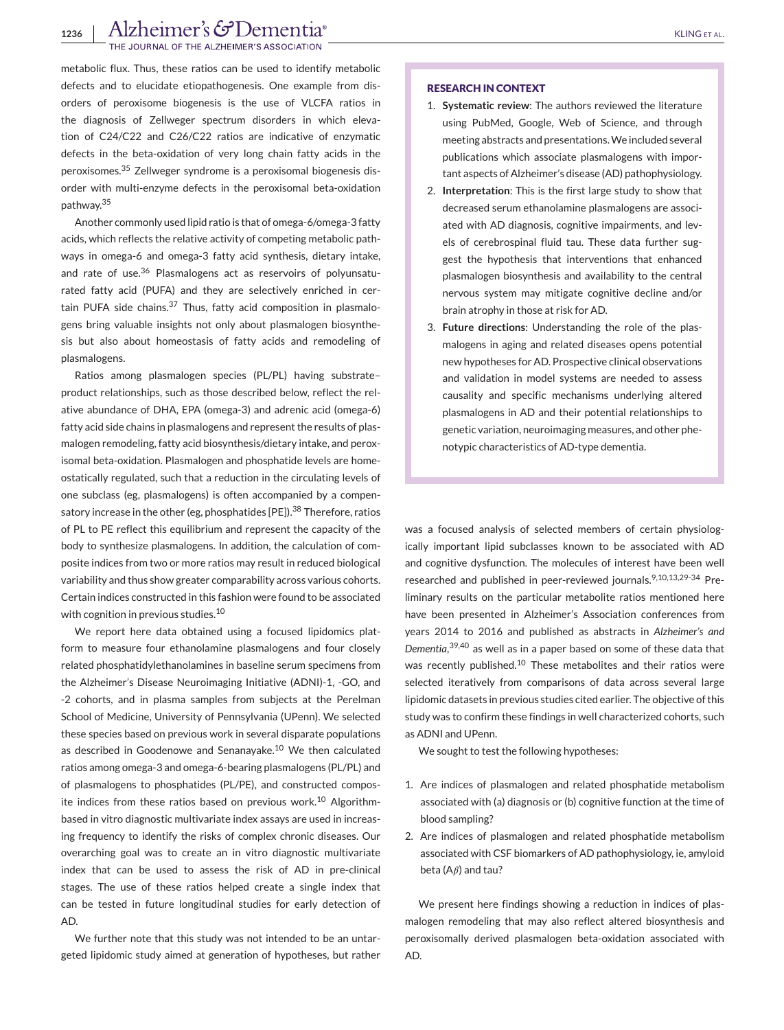## 1236 | Alzheimer's GDementia<sup>®</sup> **IRNAL OF THE ALZHEIMER'S ASSOCIATION**

metabolic flux. Thus, these ratios can be used to identify metabolic defects and to elucidate etiopathogenesis. One example from disorders of peroxisome biogenesis is the use of VLCFA ratios in the diagnosis of Zellweger spectrum disorders in which elevation of C24/C22 and C26/C22 ratios are indicative of enzymatic defects in the beta-oxidation of very long chain fatty acids in the peroxisomes.<sup>35</sup> Zellweger syndrome is a peroxisomal biogenesis disorder with multi-enzyme defects in the peroxisomal beta-oxidation pathway.<sup>35</sup>

Another commonly used lipid ratio is that of omega-6/omega-3 fatty acids, which reflects the relative activity of competing metabolic pathways in omega-6 and omega-3 fatty acid synthesis, dietary intake, and rate of use.<sup>36</sup> Plasmalogens act as reservoirs of polyunsaturated fatty acid (PUFA) and they are selectively enriched in certain PUFA side chains. $37$  Thus, fatty acid composition in plasmalogens bring valuable insights not only about plasmalogen biosynthesis but also about homeostasis of fatty acids and remodeling of plasmalogens.

Ratios among plasmalogen species (PL/PL) having substrate– product relationships, such as those described below, reflect the relative abundance of DHA, EPA (omega-3) and adrenic acid (omega-6) fatty acid side chains in plasmalogens and represent the results of plasmalogen remodeling, fatty acid biosynthesis/dietary intake, and peroxisomal beta-oxidation. Plasmalogen and phosphatide levels are homeostatically regulated, such that a reduction in the circulating levels of one subclass (eg, plasmalogens) is often accompanied by a compensatory increase in the other (eg, phosphatides [PE]).<sup>38</sup> Therefore, ratios of PL to PE reflect this equilibrium and represent the capacity of the body to synthesize plasmalogens. In addition, the calculation of composite indices from two or more ratios may result in reduced biological variability and thus show greater comparability across various cohorts. Certain indices constructed in this fashion were found to be associated with cognition in previous studies.<sup>10</sup>

We report here data obtained using a focused lipidomics platform to measure four ethanolamine plasmalogens and four closely related phosphatidylethanolamines in baseline serum specimens from the Alzheimer's Disease Neuroimaging Initiative (ADNI)-1, -GO, and -2 cohorts, and in plasma samples from subjects at the Perelman School of Medicine, University of Pennsylvania (UPenn). We selected these species based on previous work in several disparate populations as described in Goodenowe and Senanayake.<sup>10</sup> We then calculated ratios among omega-3 and omega-6-bearing plasmalogens (PL/PL) and of plasmalogens to phosphatides (PL/PE), and constructed composite indices from these ratios based on previous work.<sup>10</sup> Algorithmbased in vitro diagnostic multivariate index assays are used in increasing frequency to identify the risks of complex chronic diseases. Our overarching goal was to create an in vitro diagnostic multivariate index that can be used to assess the risk of AD in pre-clinical stages. The use of these ratios helped create a single index that can be tested in future longitudinal studies for early detection of AD.

We further note that this study was not intended to be an untargeted lipidomic study aimed at generation of hypotheses, but rather

#### **RESEARCH IN CONTEXT**

- 1. **Systematic review**: The authors reviewed the literature using PubMed, Google, Web of Science, and through meeting abstracts and presentations.We included several publications which associate plasmalogens with important aspects of Alzheimer's disease (AD) pathophysiology.
- 2. **Interpretation**: This is the first large study to show that decreased serum ethanolamine plasmalogens are associated with AD diagnosis, cognitive impairments, and levels of cerebrospinal fluid tau. These data further suggest the hypothesis that interventions that enhanced plasmalogen biosynthesis and availability to the central nervous system may mitigate cognitive decline and/or brain atrophy in those at risk for AD.
- 3. **Future directions**: Understanding the role of the plasmalogens in aging and related diseases opens potential new hypotheses for AD. Prospective clinical observations and validation in model systems are needed to assess causality and specific mechanisms underlying altered plasmalogens in AD and their potential relationships to genetic variation, neuroimaging measures, and other phenotypic characteristics of AD-type dementia.

was a focused analysis of selected members of certain physiologically important lipid subclasses known to be associated with AD and cognitive dysfunction. The molecules of interest have been well researched and published in peer-reviewed journals.<sup>9,10,13,29-34</sup> Preliminary results on the particular metabolite ratios mentioned here have been presented in Alzheimer's Association conferences from years 2014 to 2016 and published as abstracts in *Alzheimer's and Dementia*, 39,40 as well as in a paper based on some of these data that was recently published.<sup>10</sup> These metabolites and their ratios were selected iteratively from comparisons of data across several large lipidomic datasets in previous studies cited earlier. The objective of this study was to confirm these findings in well characterized cohorts, such as ADNI and UPenn.

We sought to test the following hypotheses:

- 1. Are indices of plasmalogen and related phosphatide metabolism associated with (a) diagnosis or (b) cognitive function at the time of blood sampling?
- 2. Are indices of plasmalogen and related phosphatide metabolism associated with CSF biomarkers of AD pathophysiology, ie, amyloid beta ( $A\beta$ ) and tau?

We present here findings showing a reduction in indices of plasmalogen remodeling that may also reflect altered biosynthesis and peroxisomally derived plasmalogen beta-oxidation associated with AD.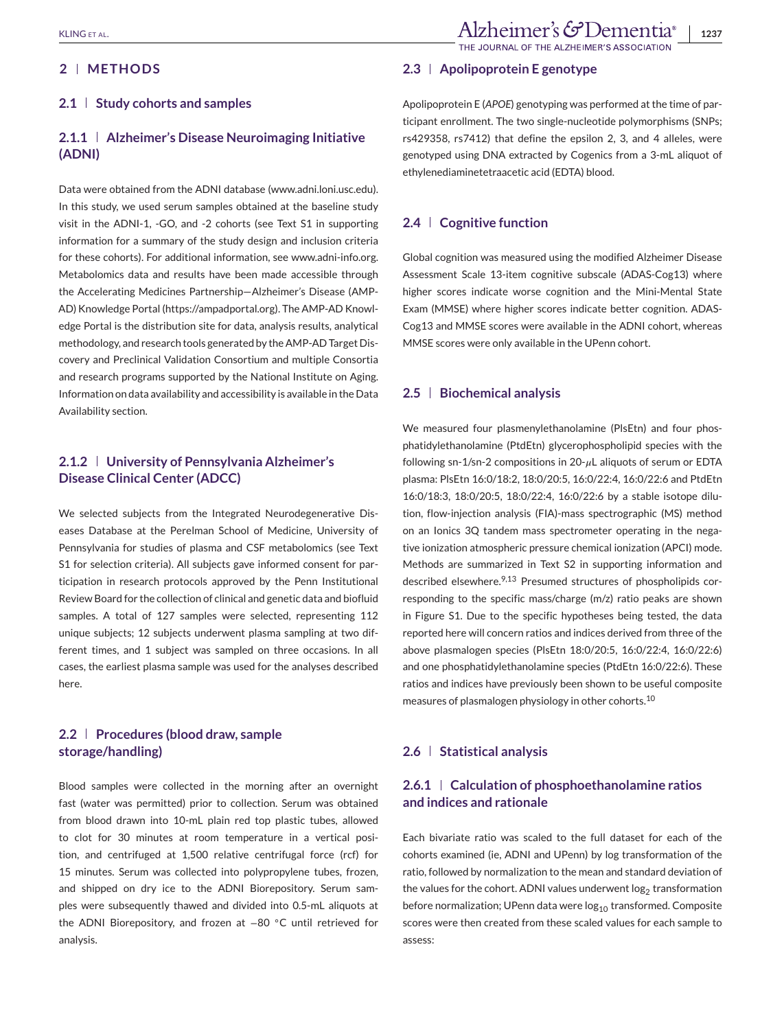## **2 METHODS**

## **2.1 Study cohorts and samples**

## **2.1.1 Alzheimer's Disease Neuroimaging Initiative (ADNI)**

Data were obtained from the ADNI database [\(www.adni.loni.usc.edu\)](http://www.adni.loni.usc.edu). In this study, we used serum samples obtained at the baseline study visit in the ADNI-1, -GO, and -2 cohorts (see Text S1 in supporting information for a summary of the study design and inclusion criteria for these cohorts). For additional information, see [www.adni-info.org.](http://www.adni-info.org) Metabolomics data and results have been made accessible through the Accelerating Medicines Partnership—Alzheimer's Disease (AMP-AD) Knowledge Portal [\(https://ampadportal.org\)](https://ampadportal.org). The AMP-AD Knowledge Portal is the distribution site for data, analysis results, analytical methodology, and research tools generated by the AMP-AD Target Discovery and Preclinical Validation Consortium and multiple Consortia and research programs supported by the National Institute on Aging. Information on data availability and accessibility is available in the Data Availability section.

## **2.1.2 University of Pennsylvania Alzheimer's Disease Clinical Center (ADCC)**

We selected subjects from the Integrated Neurodegenerative Diseases Database at the Perelman School of Medicine, University of Pennsylvania for studies of plasma and CSF metabolomics (see Text S1 for selection criteria). All subjects gave informed consent for participation in research protocols approved by the Penn Institutional Review Board for the collection of clinical and genetic data and biofluid samples. A total of 127 samples were selected, representing 112 unique subjects; 12 subjects underwent plasma sampling at two different times, and 1 subject was sampled on three occasions. In all cases, the earliest plasma sample was used for the analyses described here.

## **2.2 Procedures (blood draw, sample storage/handling)**

Blood samples were collected in the morning after an overnight fast (water was permitted) prior to collection. Serum was obtained from blood drawn into 10-mL plain red top plastic tubes, allowed to clot for 30 minutes at room temperature in a vertical position, and centrifuged at 1,500 relative centrifugal force (rcf) for 15 minutes. Serum was collected into polypropylene tubes, frozen, and shipped on dry ice to the ADNI Biorepository. Serum samples were subsequently thawed and divided into 0.5-mL aliquots at the ADNI Biorepository, and frozen at −80 ◦C until retrieved for analysis.

## **2.3 Apolipoprotein E genotype**

Apolipoprotein E (*APOE*) genotyping was performed at the time of participant enrollment. The two single-nucleotide polymorphisms (SNPs; rs429358, rs7412) that define the epsilon 2, 3, and 4 alleles, were genotyped using DNA extracted by Cogenics from a 3-mL aliquot of ethylenediaminetetraacetic acid (EDTA) blood.

## **2.4 Cognitive function**

Global cognition was measured using the modified Alzheimer Disease Assessment Scale 13-item cognitive subscale (ADAS-Cog13) where higher scores indicate worse cognition and the Mini-Mental State Exam (MMSE) where higher scores indicate better cognition. ADAS-Cog13 and MMSE scores were available in the ADNI cohort, whereas MMSE scores were only available in the UPenn cohort.

## **2.5 Biochemical analysis**

We measured four plasmenylethanolamine (PIsEtn) and four phosphatidylethanolamine (PtdEtn) glycerophospholipid species with the following sn-1/sn-2 compositions in 20- $\mu$ L aliquots of serum or EDTA plasma: PlsEtn 16:0/18:2, 18:0/20:5, 16:0/22:4, 16:0/22:6 and PtdEtn 16:0/18:3, 18:0/20:5, 18:0/22:4, 16:0/22:6 by a stable isotope dilution, flow-injection analysis (FIA)-mass spectrographic (MS) method on an Ionics 3Q tandem mass spectrometer operating in the negative ionization atmospheric pressure chemical ionization (APCI) mode. Methods are summarized in Text S2 in supporting information and described elsewhere.<sup>9,13</sup> Presumed structures of phospholipids corresponding to the specific mass/charge (m/z) ratio peaks are shown in Figure S1. Due to the specific hypotheses being tested, the data reported here will concern ratios and indices derived from three of the above plasmalogen species (PlsEtn 18:0/20:5, 16:0/22:4, 16:0/22:6) and one phosphatidylethanolamine species (PtdEtn 16:0/22:6). These ratios and indices have previously been shown to be useful composite measures of plasmalogen physiology in other cohorts.<sup>10</sup>

## **2.6 Statistical analysis**

## **2.6.1 Calculation of phosphoethanolamine ratios and indices and rationale**

Each bivariate ratio was scaled to the full dataset for each of the cohorts examined (ie, ADNI and UPenn) by log transformation of the ratio, followed by normalization to the mean and standard deviation of the values for the cohort. ADNI values underwent  $log<sub>2</sub>$  transformation before normalization; UPenn data were  $log_{10}$  transformed. Composite scores were then created from these scaled values for each sample to assess: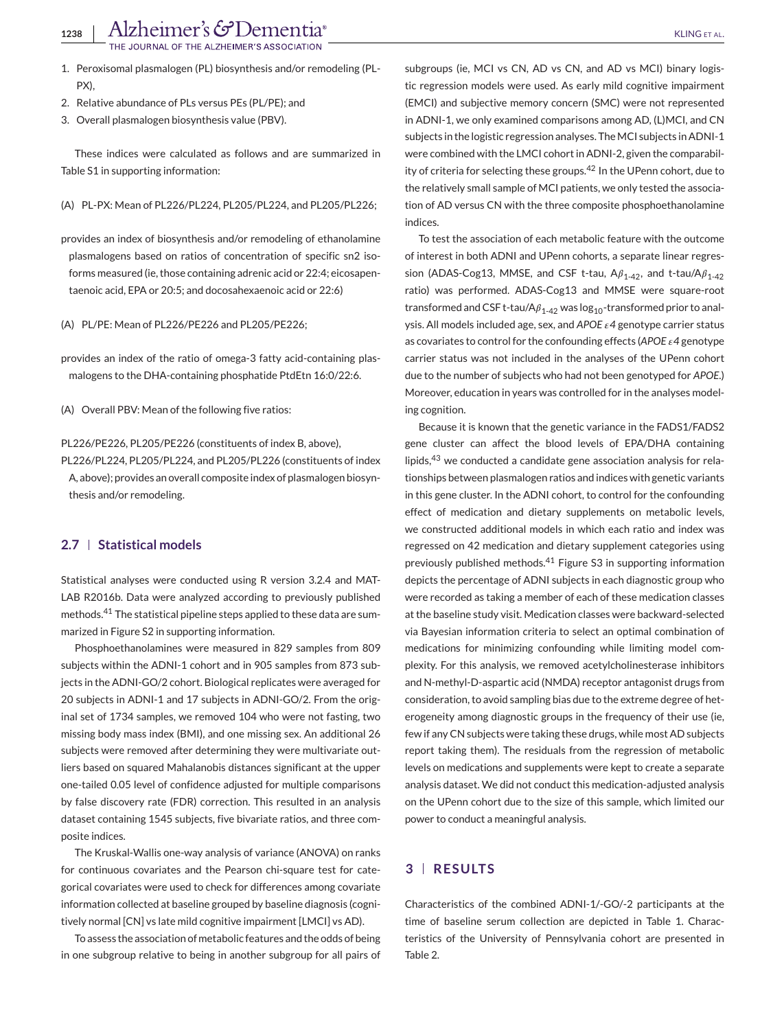- 1. Peroxisomal plasmalogen (PL) biosynthesis and/or remodeling (PL-PX),
- 2. Relative abundance of PLs versus PEs (PL/PE); and
- 3. Overall plasmalogen biosynthesis value (PBV).

These indices were calculated as follows and are summarized in Table S1 in supporting information:

(A) PL-PX: Mean of PL226/PL224, PL205/PL224, and PL205/PL226;

provides an index of biosynthesis and/or remodeling of ethanolamine plasmalogens based on ratios of concentration of specific sn2 isoforms measured (ie, those containing adrenic acid or 22:4; eicosapentaenoic acid, EPA or 20:5; and docosahexaenoic acid or 22:6)

(A) PL/PE: Mean of PL226/PE226 and PL205/PE226;

provides an index of the ratio of omega-3 fatty acid-containing plasmalogens to the DHA-containing phosphatide PtdEtn 16:0/22:6.

(A) Overall PBV: Mean of the following five ratios:

PL226/PE226, PL205/PE226 (constituents of index B, above), PL226/PL224, PL205/PL224, and PL205/PL226 (constituents of index A, above); provides an overall composite index of plasmalogen biosynthesis and/or remodeling.

## **2.7 Statistical models**

Statistical analyses were conducted using R version 3.2.4 and MAT-LAB R2016b. Data were analyzed according to previously published methods.<sup>41</sup> The statistical pipeline steps applied to these data are summarized in Figure S2 in supporting information.

Phosphoethanolamines were measured in 829 samples from 809 subjects within the ADNI-1 cohort and in 905 samples from 873 subjects in the ADNI-GO/2 cohort. Biological replicates were averaged for 20 subjects in ADNI-1 and 17 subjects in ADNI-GO/2. From the original set of 1734 samples, we removed 104 who were not fasting, two missing body mass index (BMI), and one missing sex. An additional 26 subjects were removed after determining they were multivariate outliers based on squared Mahalanobis distances significant at the upper one-tailed 0.05 level of confidence adjusted for multiple comparisons by false discovery rate (FDR) correction. This resulted in an analysis dataset containing 1545 subjects, five bivariate ratios, and three composite indices.

The Kruskal-Wallis one-way analysis of variance (ANOVA) on ranks for continuous covariates and the Pearson chi-square test for categorical covariates were used to check for differences among covariate information collected at baseline grouped by baseline diagnosis (cognitively normal [CN] vs late mild cognitive impairment [LMCI] vs AD).

To assess the association of metabolic features and the odds of being in one subgroup relative to being in another subgroup for all pairs of

subgroups (ie, MCI vs CN, AD vs CN, and AD vs MCI) binary logistic regression models were used. As early mild cognitive impairment (EMCI) and subjective memory concern (SMC) were not represented in ADNI-1, we only examined comparisons among AD, (L)MCI, and CN subjects in the logistic regression analyses. The MCI subjects in ADNI-1 were combined with the LMCI cohort in ADNI-2, given the comparability of criteria for selecting these groups.<sup>42</sup> In the UPenn cohort, due to the relatively small sample of MCI patients, we only tested the association of AD versus CN with the three composite phosphoethanolamine indices.

To test the association of each metabolic feature with the outcome of interest in both ADNI and UPenn cohorts, a separate linear regression (ADAS-Cog13, MMSE, and CSF t-tau,  $A\beta_{1-42}$ , and t-tau/A $\beta_{1-42}$ ratio) was performed. ADAS-Cog13 and MMSE were square-root transformed and CSF t-tau/A $\beta_{1-42}$  was log<sub>10</sub>-transformed prior to analysis. All models included age, sex, and *APOE 4* genotype carrier status as covariates to control for the confounding effects (*APOE 4* genotype carrier status was not included in the analyses of the UPenn cohort due to the number of subjects who had not been genotyped for *APOE*.) Moreover, education in years was controlled for in the analyses modeling cognition.

Because it is known that the genetic variance in the FADS1/FADS2 gene cluster can affect the blood levels of EPA/DHA containing lipids, $43$  we conducted a candidate gene association analysis for relationships between plasmalogen ratios and indices with genetic variants in this gene cluster. In the ADNI cohort, to control for the confounding effect of medication and dietary supplements on metabolic levels, we constructed additional models in which each ratio and index was regressed on 42 medication and dietary supplement categories using previously published methods.<sup>41</sup> Figure S3 in supporting information depicts the percentage of ADNI subjects in each diagnostic group who were recorded as taking a member of each of these medication classes at the baseline study visit. Medication classes were backward-selected via Bayesian information criteria to select an optimal combination of medications for minimizing confounding while limiting model complexity. For this analysis, we removed acetylcholinesterase inhibitors and N-methyl-D-aspartic acid (NMDA) receptor antagonist drugs from consideration, to avoid sampling bias due to the extreme degree of heterogeneity among diagnostic groups in the frequency of their use (ie, few if any CN subjects were taking these drugs, while most AD subjects report taking them). The residuals from the regression of metabolic levels on medications and supplements were kept to create a separate analysis dataset. We did not conduct this medication-adjusted analysis on the UPenn cohort due to the size of this sample, which limited our power to conduct a meaningful analysis.

## **3 RESULTS**

Characteristics of the combined ADNI-1/-GO/-2 participants at the time of baseline serum collection are depicted in Table 1. Characteristics of the University of Pennsylvania cohort are presented in Table 2.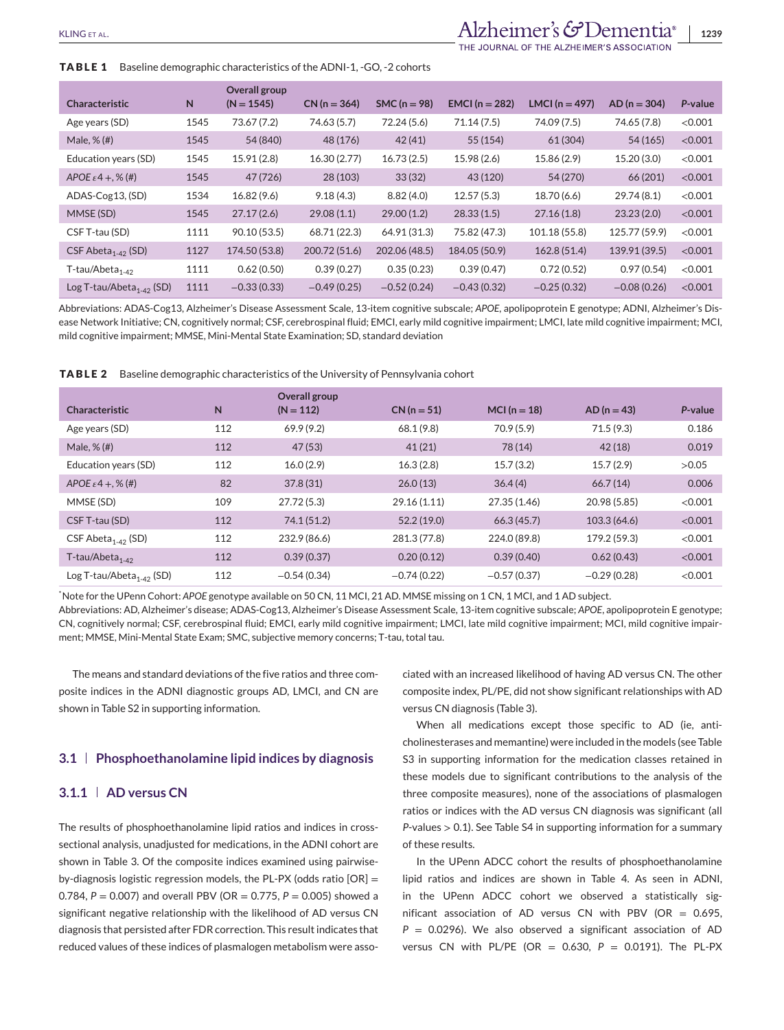## KLING ET AL. **1239**

THE JOURNAL OF THE ALZHEIMER'S ASSOCIATION

#### **TABLE 1** Baseline demographic characteristics of the ADNI-1, -GO, -2 cohorts

| <b>Characteristic</b>                | N    | Overall group<br>$(N = 1545)$ | $CN (n = 364)$ | $SMC(n = 98)$ | <b>EMCI</b> ( $n = 282$ ) | LMCI ( $n = 497$ ) | $AD (n = 304)$ | P-value |
|--------------------------------------|------|-------------------------------|----------------|---------------|---------------------------|--------------------|----------------|---------|
| Age years (SD)                       | 1545 | 73.67 (7.2)                   | 74.63 (5.7)    | 72.24 (5.6)   | 71.14(7.5)                | 74.09 (7.5)        | 74.65 (7.8)    | < 0.001 |
| Male, $%$ $#$                        | 1545 | 54 (840)                      | 48 (176)       | 42(41)        | 55(154)                   | 61 (304)           | 54 (165)       | < 0.001 |
| Education years (SD)                 | 1545 | 15.91 (2.8)                   | 16.30(2.77)    | 16.73(2.5)    | 15.98 (2.6)               | 15.86 (2.9)        | 15.20(3.0)     | < 0.001 |
| APOE $\varepsilon$ 4 +, % (#)        | 1545 | 47 (726)                      | 28 (103)       | 33(32)        | 43 (120)                  | 54 (270)           | 66 (201)       | < 0.001 |
| ADAS-Cog13, (SD)                     | 1534 | 16.82(9.6)                    | 9.18(4.3)      | 8.82(4.0)     | 12.57(5.3)                | 18.70 (6.6)        | 29.74(8.1)     | < 0.001 |
| MMSE (SD)                            | 1545 | 27.17(2.6)                    | 29.08(1.1)     | 29.00(1.2)    | 28.33(1.5)                | 27.16(1.8)         | 23.23(2.0)     | < 0.001 |
| CSF T-tau (SD)                       | 1111 | 90.10 (53.5)                  | 68.71 (22.3)   | 64.91 (31.3)  | 75.82 (47.3)              | 101.18 (55.8)      | 125.77 (59.9)  | < 0.001 |
| CSF Abeta <sub>1-42</sub> (SD)       | 1127 | 174.50 (53.8)                 | 200.72 (51.6)  | 202.06 (48.5) | 184.05 (50.9)             | 162.8 (51.4)       | 139.91 (39.5)  | < 0.001 |
| $T$ -tau/Abeta <sub>1-42</sub>       | 1111 | 0.62(0.50)                    | 0.39(0.27)     | 0.35(0.23)    | 0.39(0.47)                | 0.72(0.52)         | 0.97(0.54)     | < 0.001 |
| Log T-tau/Abeta <sub>1-42</sub> (SD) | 1111 | $-0.33(0.33)$                 | $-0.49(0.25)$  | $-0.52(0.24)$ | $-0.43(0.32)$             | $-0.25(0.32)$      | $-0.08(0.26)$  | < 0.001 |

Abbreviations: ADAS-Cog13, Alzheimer's Disease Assessment Scale, 13-item cognitive subscale; *APOE,* apolipoprotein E genotype; ADNI, Alzheimer's Disease Network Initiative; CN, cognitively normal; CSF, cerebrospinal fluid; EMCI, early mild cognitive impairment; LMCI, late mild cognitive impairment; MCI, mild cognitive impairment; MMSE, Mini-Mental State Examination; SD, standard deviation

**TABLE 2** Baseline demographic characteristics of the University of Pennsylvania cohort

| <b>Characteristic</b>                | N   | Overall group<br>$(N = 112)$ | $CN (n = 51)$ | MCI ( $n = 18$ ) | $AD (n = 43)$ | P-value |
|--------------------------------------|-----|------------------------------|---------------|------------------|---------------|---------|
| Age years (SD)                       | 112 | 69.9(9.2)                    | 68.1(9.8)     | 70.9(5.9)        | 71.5(9.3)     | 0.186   |
| Male, $%$ $#$                        | 112 | 47 (53)                      | 41(21)        | 78 (14)          | 42(18)        | 0.019   |
| Education years (SD)                 | 112 | 16.0(2.9)                    | 16.3(2.8)     | 15.7(3.2)        | 15.7(2.9)     | >0.05   |
| APOE $\varepsilon$ 4 +, % (#)        | 82  | 37.8(31)                     | 26.0(13)      | 36.4(4)          | 66.7(14)      | 0.006   |
| MMSE (SD)                            | 109 | 27.72 (5.3)                  | 29.16 (1.11)  | 27.35 (1.46)     | 20.98 (5.85)  | < 0.001 |
| CSF T-tau (SD)                       | 112 | 74.1 (51.2)                  | 52.2 (19.0)   | 66.3(45.7)       | 103.3(64.6)   | < 0.001 |
| CSF Abeta <sub>1-42</sub> (SD)       | 112 | 232.9 (86.6)                 | 281.3 (77.8)  | 224.0 (89.8)     | 179.2 (59.3)  | < 0.001 |
| $T$ -tau/Abeta <sub>1-42</sub>       | 112 | 0.39(0.37)                   | 0.20(0.12)    | 0.39(0.40)       | 0.62(0.43)    | < 0.001 |
| Log T-tau/Abeta <sub>1-42</sub> (SD) | 112 | $-0.54(0.34)$                | $-0.74(0.22)$ | $-0.57(0.37)$    | $-0.29(0.28)$ | < 0.001 |

\* Note for the UPenn Cohort: *APOE* genotype available on 50 CN, 11 MCI, 21 AD. MMSE missing on 1 CN, 1 MCI, and 1 AD subject.

Abbreviations: AD, Alzheimer's disease; ADAS-Cog13, Alzheimer's Disease Assessment Scale, 13-item cognitive subscale; *APOE*, apolipoprotein E genotype; CN, cognitively normal; CSF, cerebrospinal fluid; EMCI, early mild cognitive impairment; LMCI, late mild cognitive impairment; MCI, mild cognitive impairment; MMSE, Mini-Mental State Exam; SMC, subjective memory concerns; T-tau, total tau.

The means and standard deviations of the five ratios and three composite indices in the ADNI diagnostic groups AD, LMCI, and CN are shown in Table S2 in supporting information.

## **3.1 Phosphoethanolamine lipid indices by diagnosis**

### **3.1.1 AD versus CN**

The results of phosphoethanolamine lipid ratios and indices in crosssectional analysis, unadjusted for medications, in the ADNI cohort are shown in Table 3. Of the composite indices examined using pairwiseby-diagnosis logistic regression models, the PL-PX (odds ratio [OR] = 0.784, *P* = 0.007) and overall PBV (OR = 0.775, *P* = 0.005) showed a significant negative relationship with the likelihood of AD versus CN diagnosis that persisted after FDR correction. This result indicates that reduced values of these indices of plasmalogen metabolism were associated with an increased likelihood of having AD versus CN. The other composite index, PL/PE, did not show significant relationships with AD versus CN diagnosis (Table 3).

When all medications except those specific to AD (ie, anticholinesterases and memantine) were included in the models (see Table S3 in supporting information for the medication classes retained in these models due to significant contributions to the analysis of the three composite measures), none of the associations of plasmalogen ratios or indices with the AD versus CN diagnosis was significant (all *P*-values > 0.1). See Table S4 in supporting information for a summary of these results.

In the UPenn ADCC cohort the results of phosphoethanolamine lipid ratios and indices are shown in Table 4. As seen in ADNI, in the UPenn ADCC cohort we observed a statistically significant association of AD versus CN with PBV (OR =  $0.695$ , *P* = 0.0296). We also observed a significant association of AD versus CN with PL/PE (OR = 0.630, *P* = 0.0191). The PL-PX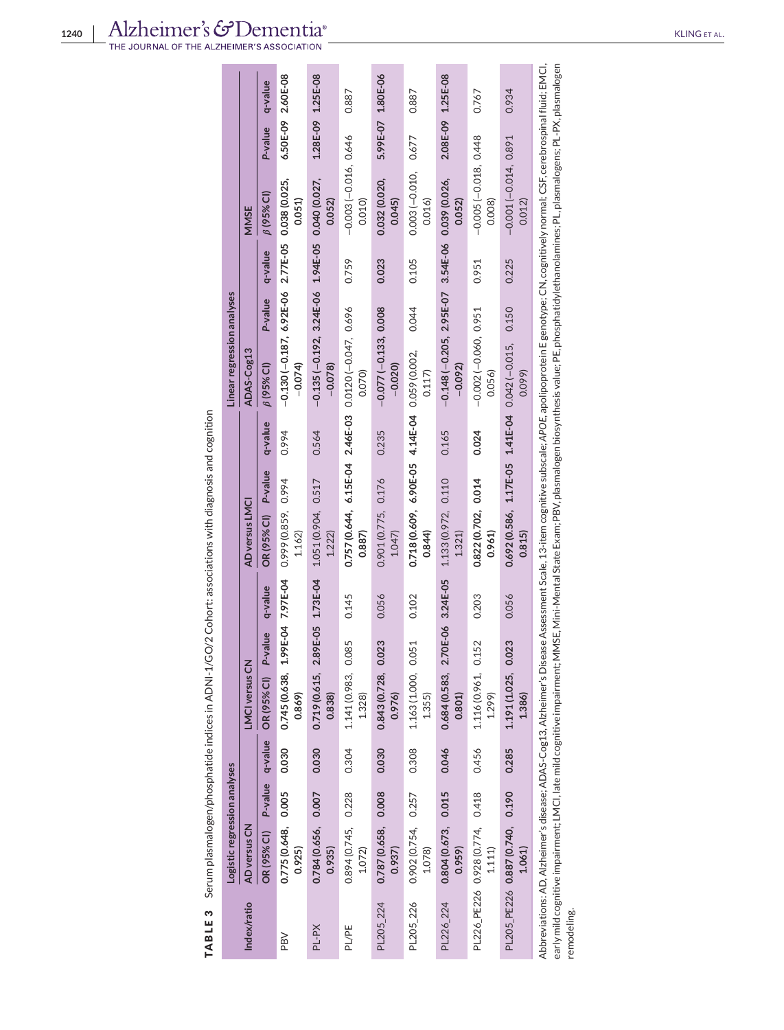|              | Logistic regression analyses              |       |                                                 |         |                                                                                                                                                                                                                |         | Linear regression analyses                                         |         |         |                                  |                   |       |
|--------------|-------------------------------------------|-------|-------------------------------------------------|---------|----------------------------------------------------------------------------------------------------------------------------------------------------------------------------------------------------------------|---------|--------------------------------------------------------------------|---------|---------|----------------------------------|-------------------|-------|
| Index/ratio  | AD versus CN                              |       | LMCI versus CN                                  |         | AD versus LMCI                                                                                                                                                                                                 |         | ADAS-Cog13                                                         |         |         | MMSE                             |                   |       |
|              |                                           |       | OR (95% CI) P-value q-value OR (95% CI) P-value | q-value | OR (95% CI) P-value                                                                                                                                                                                            | q-value | $\beta$ (95% CI)                                                   | P-value | q-value | $\beta$ (95% CI)                 | P-value q-value   |       |
| PBV          | 0.775 (0.648, 0.005<br>0.925)             | 0.030 | 0.745 (0.638, 1.99E-04 7.97E-04<br>0.869        |         | 0.999 (0.859, 0.94<br>1.162                                                                                                                                                                                    | 0.994   | $-0.130$ ( $-0.187$ , 6.92E-06 2.77E-05 0.038 (0.025,<br>$-0.074$  |         |         | 0.051                            | 6.50E-09 2.60E-08 |       |
| <b>Nd-Jd</b> | 0.784 (0.656, 0.007<br>0.935)             | 0.030 | 0.719 (0.615, 2.89E-05 1.73E-04<br>0.838)       |         | 1.051 (0.904, 0.517<br>1.222                                                                                                                                                                                   | 0.564   | $-0.135$ $(-0.192, 3.24E-06, 1.94E-05, 0.040(0.027,$<br>$-0.078$   |         |         | 0.052                            | 1.28E-09 1.25E-08 |       |
| <b>PL/PE</b> | 0.894 (0.745, 0.228<br>1.072              | 0.304 | 1.141 (0.983, 0.085<br>1.328                    | 0.145   | 0.757 (0.644, 6.15E-04 2.46E-03 0.0120 (-0.047, 0.696<br>0.887)                                                                                                                                                |         | 0.070)                                                             |         | 0.759   | $-0.003(-0.016, 0.646$<br>0.010  |                   | 0.887 |
| PL205_224    | 0.787 (0.658, 0.008<br>0.937)             | 0.030 | 0.843 (0.728, 0.023<br>0.976                    | 0.056   | 0.901 (0.775, 0.176<br>1.047                                                                                                                                                                                   | 0.235   | $-0.077(-0.133, 0.008$<br>$-0.020$                                 |         | 0.023   | 0.032 (0.020,<br>0.045           | 5.99E-07 1.80E-06 |       |
| PL205_226    | 0.902 (0.754, 0.257<br>1.078)             | 0.308 | 1.163 (1.000, 0.051<br>1.355                    | 0.102   | 0.718 (0.609, 6.90E-05 4.14E-04 0.059 (0.002,<br>0.844)                                                                                                                                                        |         | 0.117                                                              | 0.044   | 0.105   | 0.003 (-0.010, 0.677<br>0.016    |                   | 0.887 |
| PL226 224    | 0.804 (0.673, 0.015<br>0.959)             | 0.046 | 0.684 (0.583, 2.70E-06 3.24E-05<br>0.801        |         | 1.133 (0.972, 0.110)<br>1.321                                                                                                                                                                                  | 0.165   | $-0.148$ $(-0.205, 2.95E-07, 3.54E-06, 0.039)$ (0.026,<br>$-0.092$ |         |         | 0.052                            | 2.08E-09 1.25E-08 |       |
|              | PL226_PE226 0.928 (0.774, 0.418<br>1.111  | 0.456 | 1.116 (0.961, 0.152<br>1.299                    | 0.203   | 0.822 (0.702, 0.014<br>0.961)                                                                                                                                                                                  | 0.024   | $-0.002(-0.060, 0.951)$<br>0.056                                   |         | 0.951   | $-0.005(-0.018, 0.448)$<br>0.008 |                   | 0.767 |
|              | PL205_PE226 0.887 (0.740, 0.190<br>1.061) | 0.285 | 1.191 (1.025, 0.023<br>1.386                    | 0.056   | $0.692(0.586, 1.17E-05, 1.41E-04, 0.042(-0.015,$<br>0.815                                                                                                                                                      |         | 0.099                                                              | 0.150   | 0.225   | $-0.001(-0.014, 0.891)$<br>0.012 |                   | 0.934 |
|              |                                           |       |                                                 |         | Abbreviations: AD, Alzheimer's disease; ADAS-Cog13, Alzheimer's Disease Assessment Scale, 13-item cognitive subscale; APOE, apolipoprotein E genotype; CN, cognitively normal; CSF, cerebrospinal fluid; ENCI, |         |                                                                    |         |         |                                  |                   |       |

TABLE 3 Serum plasmalogen/phosphatide indices in ADNI-1/GO/2 Cohort: associations with diagnosis and cognition **TABLE 3** Serum plasmalogen/phosphatide indices in ADNI-1/GO/2 Cohort: associations with diagnosis and cognition

early mild cognitive impairment; LMCI, late mild cognitive impairment; MMSE, Mini-Mental State Exam; PB, plasmalogen biosynthesis value; PE, phosphatidylethanolamines; PL, plasmalogens; PL-PX, plasmalogen Abbreviations: AD, Alzheimer's disease; ADAS-Cog13, Alzheimer's Disease Assessment Scale, 13-item cognitive subscale; *APOE*, apolipoprotein E genotype; CN, cognitively normal; CSF, cerebrospinal fluid; EMCI, early mild cognitive impairment; LMCI, late mild cognitive impairment;MMSE,Mini-Mental State Exam; PBV, plasmalogen biosynthesis value; PE, phosphatidylethanolamines; PL, plasmalogens; PL-PX, plasmalogen remodeling. remodeling.Abb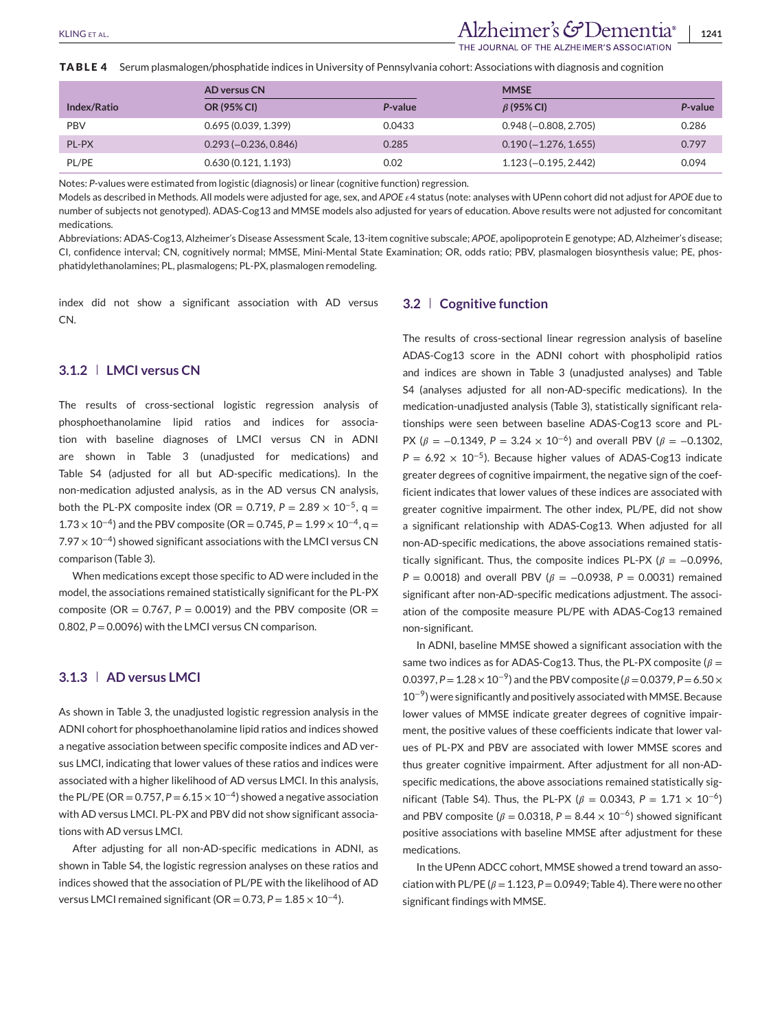## KLING ET AL. **1241**

HE JOURNAL OF THE ALZHEIMER'S ASSOCIATION

**TABLE 4** Serum plasmalogen/phosphatide indices in University of Pennsylvania cohort: Associations with diagnosis and cognition

|             | <b>AD versus CN</b>     |         | <b>MMSE</b>             |         |  |  |
|-------------|-------------------------|---------|-------------------------|---------|--|--|
| Index/Ratio | OR (95% CI)             | P-value | $\beta$ (95% CI)        | P-value |  |  |
| <b>PBV</b>  | 0.695(0.039, 1.399)     | 0.0433  | $0.948 (-0.808, 2.705)$ | 0.286   |  |  |
| PL-PX       | $0.293 (-0.236, 0.846)$ | 0.285   | $0.190(-1.276, 1.655)$  | 0.797   |  |  |
| PL/PE       | 0.630(0.121, 1.193)     | 0.02    | $1.123(-0.195, 2.442)$  | 0.094   |  |  |

Notes: *P*-values were estimated from logistic (diagnosis) or linear (cognitive function) regression.

Models as described in Methods. All models were adjusted for age, sex, and *APOE* 4 status (note: analyses with UPenn cohort did not adjust for *APOE* due to number of subjects not genotyped). ADAS-Cog13 and MMSE models also adjusted for years of education. Above results were not adjusted for concomitant medications.

Abbreviations: ADAS-Cog13, Alzheimer's Disease Assessment Scale, 13-item cognitive subscale; *APOE*, apolipoprotein E genotype; AD, Alzheimer's disease; CI, confidence interval; CN, cognitively normal; MMSE, Mini-Mental State Examination; OR, odds ratio; PBV, plasmalogen biosynthesis value; PE, phosphatidylethanolamines; PL, plasmalogens; PL-PX, plasmalogen remodeling.

index did not show a significant association with AD versus CN.

## **3.1.2 LMCI versus CN**

The results of cross-sectional logistic regression analysis of phosphoethanolamine lipid ratios and indices for association with baseline diagnoses of LMCI versus CN in ADNI are shown in Table 3 (unadjusted for medications) and Table S4 (adjusted for all but AD-specific medications). In the non-medication adjusted analysis, as in the AD versus CN analysis, both the PL-PX composite index (OR = 0.719,  $P = 2.89 \times 10^{-5}$ , q =  $1.73 \times 10^{-4}$ ) and the PBV composite (OR = 0.745, P = 1.99  $\times$  10<sup>-4</sup>, q = 7.97 × 10<sup>-4</sup>) showed significant associations with the LMCI versus CN comparison (Table 3).

When medications except those specific to AD were included in the model, the associations remained statistically significant for the PL-PX composite (OR =  $0.767$ ,  $P = 0.0019$ ) and the PBV composite (OR = 0.802,  $P = 0.0096$ ) with the LMCI versus CN comparison.

#### **3.1.3 AD versus LMCI**

As shown in Table 3, the unadjusted logistic regression analysis in the ADNI cohort for phosphoethanolamine lipid ratios and indices showed a negative association between specific composite indices and AD versus LMCI, indicating that lower values of these ratios and indices were associated with a higher likelihood of AD versus LMCI. In this analysis, the PL/PE (OR =  $0.757$ ,  $P = 6.15 \times 10^{-4}$ ) showed a negative association with AD versus LMCI. PL-PX and PBV did not show significant associations with AD versus LMCI.

After adjusting for all non-AD-specific medications in ADNI, as shown in Table S4, the logistic regression analyses on these ratios and indices showed that the association of PL/PE with the likelihood of AD versus LMCI remained significant (OR =  $0.73$ ,  $P = 1.85 \times 10^{-4}$ ).

#### **3.2 Cognitive function**

The results of cross-sectional linear regression analysis of baseline ADAS-Cog13 score in the ADNI cohort with phospholipid ratios and indices are shown in Table 3 (unadjusted analyses) and Table S4 (analyses adjusted for all non-AD-specific medications). In the medication-unadjusted analysis (Table 3), statistically significant relationships were seen between baseline ADAS-Cog13 score and PL-PX ( $\beta$  = -0.1349, P = 3.24 × 10<sup>-6</sup>) and overall PBV ( $\beta$  = -0.1302,  $P = 6.92 \times 10^{-5}$ ). Because higher values of ADAS-Cog13 indicate greater degrees of cognitive impairment, the negative sign of the coefficient indicates that lower values of these indices are associated with greater cognitive impairment. The other index, PL/PE, did not show a significant relationship with ADAS-Cog13. When adjusted for all non-AD-specific medications, the above associations remained statistically significant. Thus, the composite indices PL-PX ( $\beta = -0.0996$ , *P* = 0.0018) and overall PBV ( $\beta$  = -0.0938, *P* = 0.0031) remained significant after non-AD-specific medications adjustment. The association of the composite measure PL/PE with ADAS-Cog13 remained non-significant.

In ADNI, baseline MMSE showed a significant association with the same two indices as for ADAS-Cog13. Thus, the PL-PX composite ( $\beta$  = 0.0397,  $P = 1.28 \times 10^{-9}$ ) and the PBV composite ( $\beta = 0.0379$ ,  $P = 6.50 \times$ 10<sup>−</sup>9) were significantly and positively associated with MMSE. Because lower values of MMSE indicate greater degrees of cognitive impairment, the positive values of these coefficients indicate that lower values of PL-PX and PBV are associated with lower MMSE scores and thus greater cognitive impairment. After adjustment for all non-ADspecific medications, the above associations remained statistically significant (Table S4). Thus, the PL-PX ( $\beta$  = 0.0343, P = 1.71 × 10<sup>-6</sup>) and PBV composite ( $\beta$  = 0.0318, P = 8.44 × 10<sup>-6</sup>) showed significant positive associations with baseline MMSE after adjustment for these medications.

In the UPenn ADCC cohort, MMSE showed a trend toward an association with PL/PE ( $\beta$  = 1.123, P = 0.0949; Table 4). There were no other significant findings with MMSE.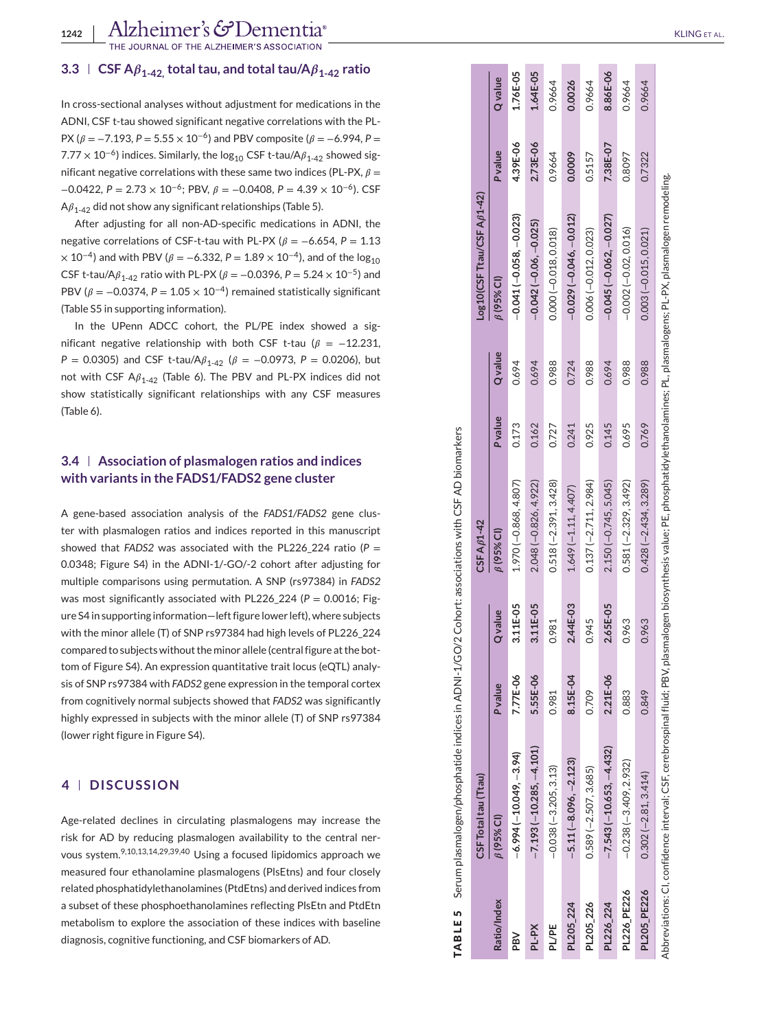## $\texttt{3.3} \perp \textbf{CSF} \, \textsf{A}\textcolor{red}{\beta_{1\text{-}42\text{}}}$  total taul taul  $\textsf{A}\textcolor{red}{\beta_{1\text{-}42}}$  ratio

In cross-sectional analyses without adjustment for medications in the ADNI, CSF t-tau showed significant negative correlations with the PL-PX ( $\beta$  = −7.193, P = 5.55 × 10<sup>-6</sup>) and PBV composite ( $\beta$  = −6.994, P = 7.77  $\times$  10 $^{-6}$ ) indices. Similarly, the log $_{10}$  CSF t-tau/A $\beta_{1\text{-}42}$  showed significant negative correlations with these same two indices (PL-PX,  $\beta$  = −0.0422, *P* = 2.73 × 10<sup>−</sup>6; PBV, = −0.0408, *P* = 4.39 × 10<sup>−</sup>6). CSF  $A\beta_{1-42}$  did not show any significant relationships (Table 5).

After adjusting for all non-AD-specific medications in ADNI, the negative correlations of CSF-t-tau with PL-PX ( $\beta = -6.654$ ,  $P = 1.13$  $\times$  10<sup>-4</sup>) and with PBV ( $\beta$  =  $-$ 6.332, P = 1.89  $\times$  10<sup>-4</sup>), and of the log<sub>10</sub> CSF t-tau/A $\beta_{1-42}$  ratio with PL-PX ( $\beta$  = −0.0396, P = 5.24  $\times$  10<sup>-5</sup>) and PBV ( $\beta$  = -0.0374, P = 1.05  $\times$  10<sup>-4</sup>) remained statistically significant (Table S5 in supporting information).

In the UPenn ADCC cohort, the PL/PE index showed a significant negative relationship with both CSF t-tau ( $\beta$  = -12.231, *P* = 0.0305) and CSF t-tau/A $\beta_{1-42}$  ( $\beta$  = -0.0973, *P* = 0.0206), but not with CSF  $A\beta_{1\text{-}42}$  (Table 6). The PBV and PL-PX indices did not show statistically significant relationships with any CSF measures (Table 6).

## **3.4 Association of plasmalogen ratios and indices with variants in the FADS1/FADS2 gene cluster**

A gene-based association analysis of the *FADS1/FADS2* gene cluster with plasmalogen ratios and indices reported in this manuscript showed that *FADS2* was associated with the PL226\_224 ratio ( *P* = 0.0348; Figure S4) in the ADNI-1/-GO/-2 cohort after adjusting for multiple comparisons using permutation. A SNP (rs97384) in *FADS2* was most significantly associated with PL226\_224 (P = 0.0016; Figure S4 in supporting information—left figure lower left), where subjects with the minor allele (T) of SNP rs97384 had high levels of PL226\_224 compared to subjects without the minor allele (central figure at the bottom of Figure S4). An expression quantitative trait locus (eQTL) analysis of SNP rs97384 with *FADS2* gene expression in the temporal cortex from cognitively normal subjects showed that *FADS2* was significantly highly expressed in subjects with the minor allele (T) of SNP rs97384 (lower right figure in Figure S4).

## **4 DISCUSSION**

Age-related declines in circulating plasmalogens may increase the risk for AD by reducing plasmalogen availability to the central nervous system.9,10,13,14,29,39,40 Using a focused lipidomics approach we measured four ethanolamine plasmalogens (PlsEtns) and four closely related phosphatidylethanolamines (PtdEtns) and derived indices from a subset of these phosphoethanolamines reflecting PlsEtn and PtdEtn metabolism to explore the association of these indices with baseline diagnosis, cognitive functioning, and CSF biomarkers of AD.

|             | TABLE 5 Serum plasmalogen/phosphatide indices in ADNI-1/GO/2 Cohort: associations with CSF AD biomarkers                                                                              |                |                |                        |                |                |                            |                |                |
|-------------|---------------------------------------------------------------------------------------------------------------------------------------------------------------------------------------|----------------|----------------|------------------------|----------------|----------------|----------------------------|----------------|----------------|
|             | CSF Total tau (Ttau)                                                                                                                                                                  |                |                | CSF A <sub>61-42</sub> |                |                | Log10(CSF Ttau/CSF Aß1-42) |                |                |
| Ratio/Index | $\beta$ (95% CI)                                                                                                                                                                      | <b>P</b> value | <b>Q</b> value | $\beta$ (95% CI)       | <b>P</b> value | <b>Q</b> value | $\beta$ (95% CI)           | <b>P</b> value | <b>Q</b> value |
| PBV         | $-6.994(-10.049,-3.94)$                                                                                                                                                               | 7.77E-06       | 3.11E-05       | 1.970 (-0.868, 4.807)  | 0.173          | 0.694          | $-0.041(-0.058,-0.023)$    | 4.39E-06       | 1.76E-05       |
| PL-PX       | $-7.193(-10.285, -4.101)$                                                                                                                                                             | 5.55E-06       | 3.11E-05       | 2.048 (-0.826, 4.922)  | 0.162          | 0.694          | $-0.042(-0.06, -0.025)$    | 2.73E-06       | 1.64E-05       |
| PL/PE       | $-0.038(-3.205, 3.13)$                                                                                                                                                                | 0.981          | 0.981          | $0.518(-2.391, 3.428)$ | 0.727          | 0.988          | $0.000(-0.018, 0.018)$     | 0.9664         | 0.9664         |
| PL205 224   | $-5.11(-8.096, -2.123)$                                                                                                                                                               | 8.15E-04       | 2.44E-03       | $1.649(-1.11, 4.407)$  | 0.241          | 0.724          | $-0.029(-0.046,-0.012)$    | 0.0009         | 0.0026         |
| PL205_226   | $0.589(-2.507, 3.685)$                                                                                                                                                                | 0.709          | 0.945          | $0.137(-2.711, 2.984)$ | 0.925          | 0.988          | $0.006(-0.012, 0.023)$     | 0.5157         | 0.9664         |
| PL226_224   | $-7.543(-10.653, -4.432)$                                                                                                                                                             | 2.21E-06       | 2.65E-05       | $2.150(-0.745, 5.045)$ | 0.145          | 0.694          | $-0.045(-0.062,-0.027)$    | 7.38E-07       | 8.86E-06       |
| PL226 PE226 | $-0.238(-3.409, 2.932)$                                                                                                                                                               | 0.883          | 0.963          | $0.581(-2.329, 3.492)$ | 0.695          | 0.988          | $-0.002(-0.02, 0.016)$     | 0.8097         | 0.9664         |
| PL205 PE226 | $0.302(-2.81, 3.414)$                                                                                                                                                                 | 0.849          | 0.963          | $0.428(-2.434, 3.289)$ | 0.769          | 0.988          | $0.003(-0.015, 0.021)$     | 0.7322         | 0.9664         |
|             | Abbreviations: CI.confidence interval: CSF.cerebrospinal fluid: PBV, plasmalogen biosynthesis value: PE. phosphatid vlethanolamines: PL. plasmalogens: PL-PX. plasmalogen remodeling. |                |                |                        |                |                |                            |                |                |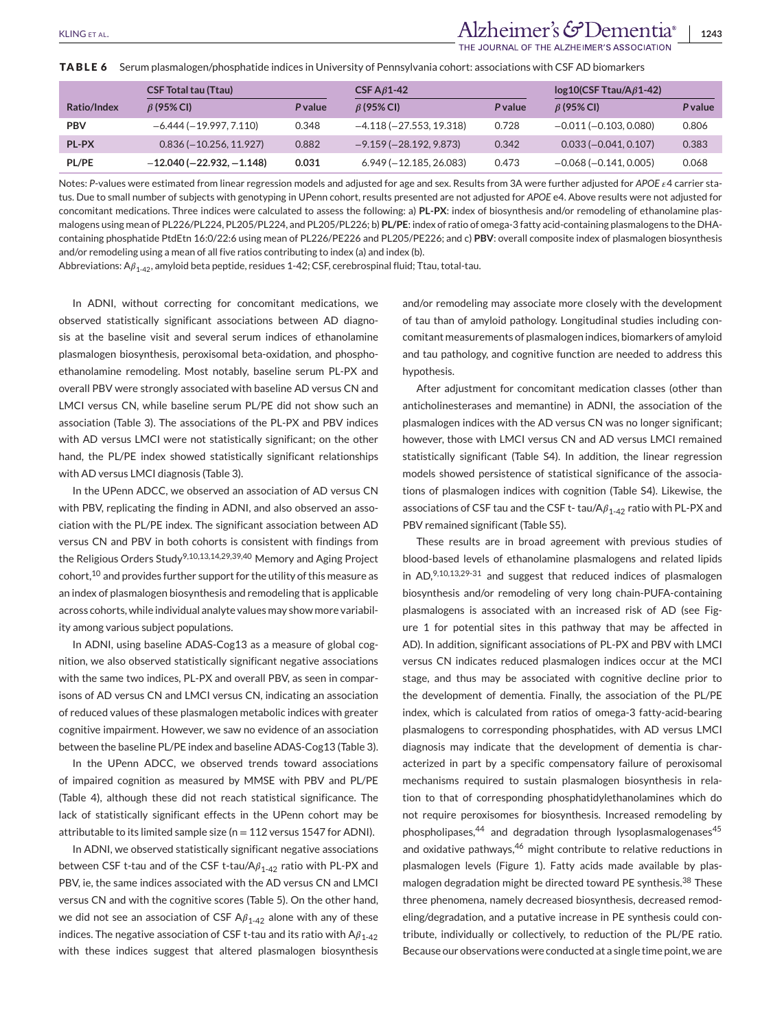# KLING ET AL. **1243**<br>**Alzheimer's & Dementia** | 1243

HE JOURNAL OF THE ALZHEIMER'S ASSOCIATION

**TABLE 6** Serum plasmalogen/phosphatide indices in University of Pennsylvania cohort: associations with CSF AD biomarkers

|              | <b>CSF Total tau (Ttau)</b>     |         | CSF $A\beta$ 1-42         |         | $log10(CSF)$ Ttau/A $\beta$ 1-42) |                |
|--------------|---------------------------------|---------|---------------------------|---------|-----------------------------------|----------------|
| Ratio/Index  | $\beta$ (95% CI)                | P value | $\beta$ (95% CI)          | P value | $\beta$ (95% CI)                  | <b>P</b> value |
| <b>PBV</b>   | $-6.444(-19.997, 7.110)$        | 0.348   | $-4.118(-27.553, 19.318)$ | 0.728   | $-0.011(-0.103, 0.080)$           | 0.806          |
| <b>PL-PX</b> | $0.836 (-10.256, 11.927)$       | 0.882   | $-9.159(-28.192, 9.873)$  | 0.342   | $0.033 (-0.041, 0.107)$           | 0.383          |
| <b>PL/PE</b> | $-12.040$ ( $-22.932, -1.148$ ) | 0.031   | $6.949 (-12.185, 26.083)$ | 0.473   | $-0.068(-0.141, 0.005)$           | 0.068          |

Notes: P-values were estimated from linear regression models and adjusted for age and sex. Results from 3A were further adjusted for APOE  $\epsilon$ 4 carrier status. Due to small number of subjects with genotyping in UPenn cohort, results presented are not adjusted for *APOE* e4. Above results were not adjusted for concomitant medications. Three indices were calculated to assess the following: a) **PL-PX**: index of biosynthesis and/or remodeling of ethanolamine plasmalogens using mean of PL226/PL224, PL205/PL224, and PL205/PL226; b) **PL/PE**: index of ratio of omega-3 fatty acid-containing plasmalogens to the DHAcontaining phosphatide PtdEtn 16:0/22:6 using mean of PL226/PE226 and PL205/PE226; and c) **PBV**: overall composite index of plasmalogen biosynthesis and/or remodeling using a mean of all five ratios contributing to index (a) and index (b).

Abbreviations:  $A_{1-42}$ , amyloid beta peptide, residues 1-42; CSF, cerebrospinal fluid; Ttau, total-tau.

In ADNI, without correcting for concomitant medications, we observed statistically significant associations between AD diagnosis at the baseline visit and several serum indices of ethanolamine plasmalogen biosynthesis, peroxisomal beta-oxidation, and phosphoethanolamine remodeling. Most notably, baseline serum PL-PX and overall PBV were strongly associated with baseline AD versus CN and LMCI versus CN, while baseline serum PL/PE did not show such an association (Table 3). The associations of the PL-PX and PBV indices with AD versus LMCI were not statistically significant; on the other hand, the PL/PE index showed statistically significant relationships with AD versus LMCI diagnosis (Table 3).

In the UPenn ADCC, we observed an association of AD versus CN with PBV, replicating the finding in ADNI, and also observed an association with the PL/PE index. The significant association between AD versus CN and PBV in both cohorts is consistent with findings from the Religious Orders Study<sup>9,10,13,14,29,39,40</sup> Memory and Aging Project cohort,<sup>10</sup> and provides further support for the utility of this measure as an index of plasmalogen biosynthesis and remodeling that is applicable across cohorts, while individual analyte values may show more variability among various subject populations.

In ADNI, using baseline ADAS-Cog13 as a measure of global cognition, we also observed statistically significant negative associations with the same two indices, PL-PX and overall PBV, as seen in comparisons of AD versus CN and LMCI versus CN, indicating an association of reduced values of these plasmalogen metabolic indices with greater cognitive impairment. However, we saw no evidence of an association between the baseline PL/PE index and baseline ADAS-Cog13 (Table 3).

In the UPenn ADCC, we observed trends toward associations of impaired cognition as measured by MMSE with PBV and PL/PE (Table 4), although these did not reach statistical significance. The lack of statistically significant effects in the UPenn cohort may be attributable to its limited sample size ( $n = 112$  versus 1547 for ADNI).

In ADNI, we observed statistically significant negative associations between CSF t-tau and of the CSF t-tau/A $\beta_{1-42}$  ratio with PL-PX and PBV, ie, the same indices associated with the AD versus CN and LMCI versus CN and with the cognitive scores (Table 5). On the other hand, we did not see an association of CSF  $A\beta_{1-42}$  alone with any of these indices. The negative association of CSF t-tau and its ratio with  $A\beta_{1-42}$ with these indices suggest that altered plasmalogen biosynthesis and/or remodeling may associate more closely with the development of tau than of amyloid pathology. Longitudinal studies including concomitant measurements of plasmalogen indices, biomarkers of amyloid and tau pathology, and cognitive function are needed to address this hypothesis.

After adjustment for concomitant medication classes (other than anticholinesterases and memantine) in ADNI, the association of the plasmalogen indices with the AD versus CN was no longer significant; however, those with LMCI versus CN and AD versus LMCI remained statistically significant (Table S4). In addition, the linear regression models showed persistence of statistical significance of the associations of plasmalogen indices with cognition (Table S4). Likewise, the associations of CSF tau and the CSF t- tau/A $\beta_{1-42}$  ratio with PL-PX and PBV remained significant (Table S5).

These results are in broad agreement with previous studies of blood-based levels of ethanolamine plasmalogens and related lipids in  $AD$ ,  $9,10,13,29-31$  and suggest that reduced indices of plasmalogen biosynthesis and/or remodeling of very long chain-PUFA-containing plasmalogens is associated with an increased risk of AD (see Figure 1 for potential sites in this pathway that may be affected in AD). In addition, significant associations of PL-PX and PBV with LMCI versus CN indicates reduced plasmalogen indices occur at the MCI stage, and thus may be associated with cognitive decline prior to the development of dementia. Finally, the association of the PL/PE index, which is calculated from ratios of omega-3 fatty-acid-bearing plasmalogens to corresponding phosphatides, with AD versus LMCI diagnosis may indicate that the development of dementia is characterized in part by a specific compensatory failure of peroxisomal mechanisms required to sustain plasmalogen biosynthesis in relation to that of corresponding phosphatidylethanolamines which do not require peroxisomes for biosynthesis. Increased remodeling by phospholipases,<sup>44</sup> and degradation through lysoplasmalogenases<sup>45</sup> and oxidative pathways,<sup>46</sup> might contribute to relative reductions in plasmalogen levels (Figure 1). Fatty acids made available by plasmalogen degradation might be directed toward PE synthesis.<sup>38</sup> These three phenomena, namely decreased biosynthesis, decreased remodeling/degradation, and a putative increase in PE synthesis could contribute, individually or collectively, to reduction of the PL/PE ratio. Because our observations were conducted at a single time point, we are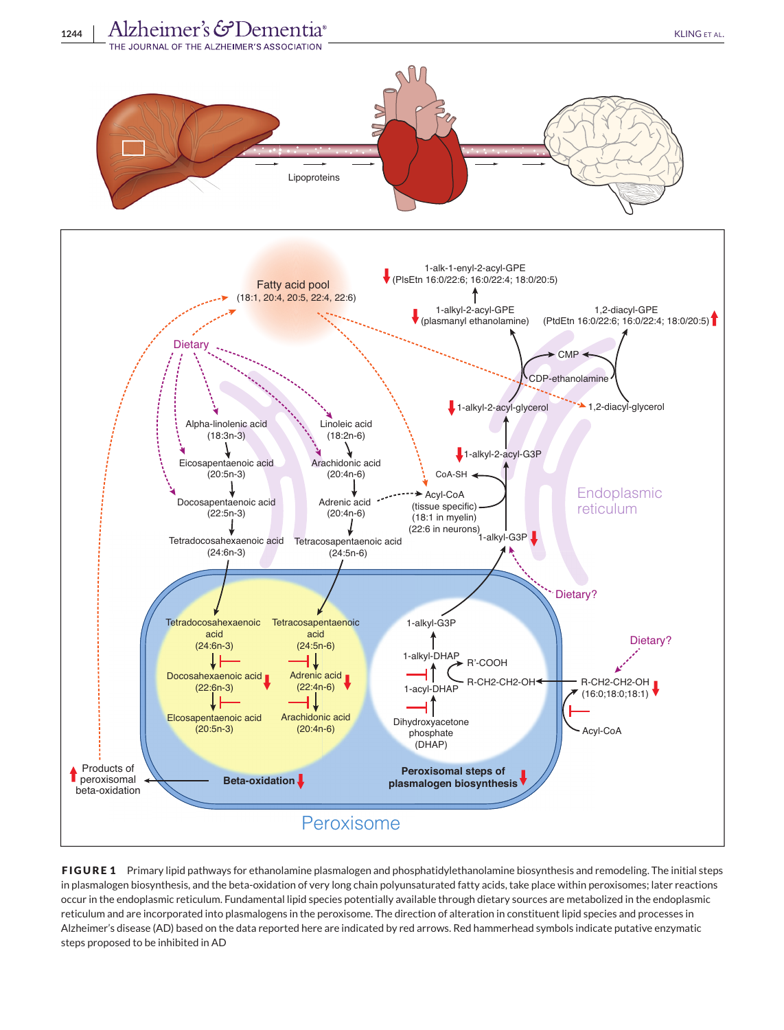

**FIGURE 1** Primary lipid pathways for ethanolamine plasmalogen and phosphatidylethanolamine biosynthesis and remodeling. The initial steps in plasmalogen biosynthesis, and the beta-oxidation of very long chain polyunsaturated fatty acids, take place within peroxisomes; later reactions occur in the endoplasmic reticulum. Fundamental lipid species potentially available through dietary sources are metabolized in the endoplasmic reticulum and are incorporated into plasmalogens in the peroxisome. The direction of alteration in constituent lipid species and processes in Alzheimer's disease (AD) based on the data reported here are indicated by red arrows. Red hammerhead symbols indicate putative enzymatic steps proposed to be inhibited in AD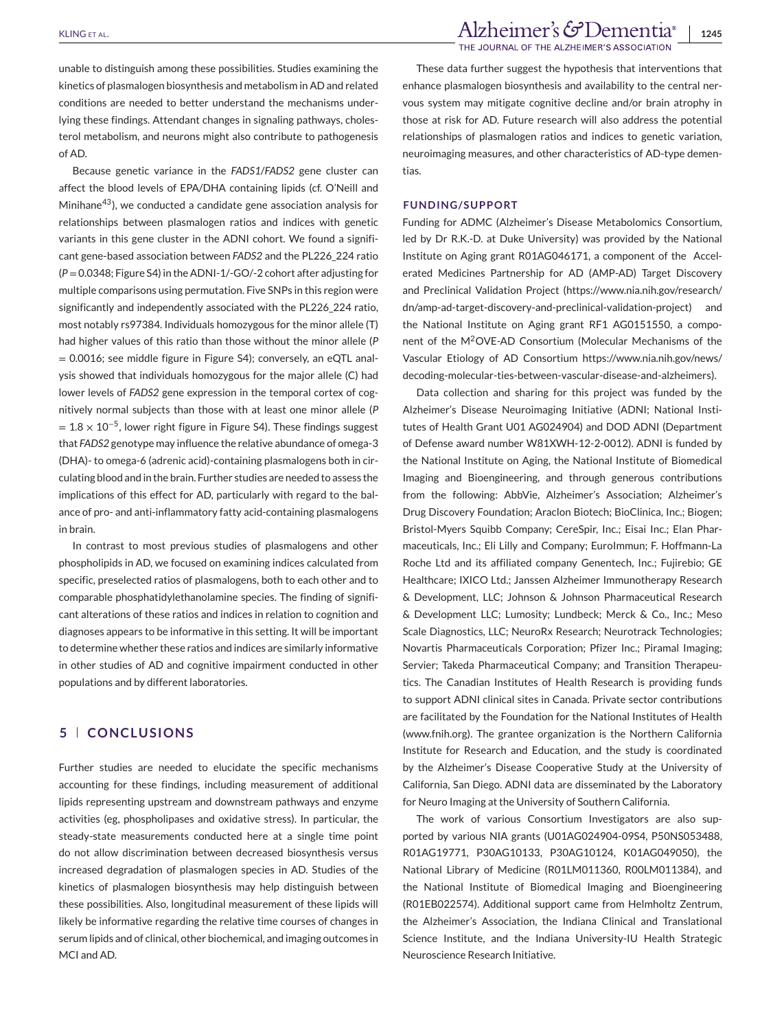unable to distinguish among these possibilities. Studies examining the kinetics of plasmalogen biosynthesis and metabolism in AD and related conditions are needed to better understand the mechanisms underlying these findings. Attendant changes in signaling pathways, cholesterol metabolism, and neurons might also contribute to pathogenesis of AD.

Because genetic variance in the *FADS1*/*FADS2* gene cluster can affect the blood levels of EPA/DHA containing lipids (cf. O'Neill and Minihane43), we conducted a candidate gene association analysis for relationships between plasmalogen ratios and indices with genetic variants in this gene cluster in the ADNI cohort. We found a significant gene-based association between *FADS2* and the PL226\_224 ratio (*P*=0.0348; Figure S4) in the ADNI-1/-GO/-2 cohort after adjusting for multiple comparisons using permutation. Five SNPs in this region were significantly and independently associated with the PL226\_224 ratio, most notably rs97384. Individuals homozygous for the minor allele (T) had higher values of this ratio than those without the minor allele (*P* = 0.0016; see middle figure in Figure S4); conversely, an eQTL analysis showed that individuals homozygous for the major allele (C) had lower levels of *FADS2* gene expression in the temporal cortex of cognitively normal subjects than those with at least one minor allele (*P*  $= 1.8 \times 10^{-5}$ , lower right figure in Figure S4). These findings suggest that *FADS2* genotype may influence the relative abundance of omega-3 (DHA)- to omega-6 (adrenic acid)-containing plasmalogens both in circulating blood and in the brain. Further studies are needed to assess the implications of this effect for AD, particularly with regard to the balance of pro- and anti-inflammatory fatty acid-containing plasmalogens in brain.

In contrast to most previous studies of plasmalogens and other phospholipids in AD, we focused on examining indices calculated from specific, preselected ratios of plasmalogens, both to each other and to comparable phosphatidylethanolamine species. The finding of significant alterations of these ratios and indices in relation to cognition and diagnoses appears to be informative in this setting. It will be important to determine whether these ratios and indices are similarly informative in other studies of AD and cognitive impairment conducted in other populations and by different laboratories.

## **5 CONCLUSIONS**

Further studies are needed to elucidate the specific mechanisms accounting for these findings, including measurement of additional lipids representing upstream and downstream pathways and enzyme activities (eg, phospholipases and oxidative stress). In particular, the steady-state measurements conducted here at a single time point do not allow discrimination between decreased biosynthesis versus increased degradation of plasmalogen species in AD. Studies of the kinetics of plasmalogen biosynthesis may help distinguish between these possibilities. Also, longitudinal measurement of these lipids will likely be informative regarding the relative time courses of changes in serum lipids and of clinical, other biochemical, and imaging outcomes in MCI and AD.

These data further suggest the hypothesis that interventions that enhance plasmalogen biosynthesis and availability to the central nervous system may mitigate cognitive decline and/or brain atrophy in those at risk for AD. Future research will also address the potential relationships of plasmalogen ratios and indices to genetic variation, neuroimaging measures, and other characteristics of AD-type dementias.

#### **FUNDING/SUPPORT**

Funding for ADMC (Alzheimer's Disease Metabolomics Consortium, led by Dr R.K.-D. at Duke University) was provided by the National Institute on Aging grant R01AG046171, a component of the Accelerated Medicines Partnership for AD (AMP-AD) Target Discovery and Preclinical Validation Project [\(https://www.nia.nih.gov/research/](https://www.nia.nih.gov/research/dn/amp-ad-target-discovery-and-preclinical-validation-project) [dn/amp-ad-target-discovery-and-preclinical-validation-project\)](https://www.nia.nih.gov/research/dn/amp-ad-target-discovery-and-preclinical-validation-project) and the National Institute on Aging grant RF1 AG0151550, a component of the M2OVE-AD Consortium (Molecular Mechanisms of the Vascular Etiology of AD Consortium [https://www.nia.nih.gov/news/](https://www.nia.nih.gov/news/decoding-molecular-ties-between-vascular-disease-and-alzheimers) [decoding-molecular-ties-between-vascular-disease-and-alzheimers\)](https://www.nia.nih.gov/news/decoding-molecular-ties-between-vascular-disease-and-alzheimers).

Data collection and sharing for this project was funded by the Alzheimer's Disease Neuroimaging Initiative (ADNI; National Institutes of Health Grant U01 AG024904) and DOD ADNI (Department of Defense award number W81XWH-12-2-0012). ADNI is funded by the National Institute on Aging, the National Institute of Biomedical Imaging and Bioengineering, and through generous contributions from the following: AbbVie, Alzheimer's Association; Alzheimer's Drug Discovery Foundation; Araclon Biotech; BioClinica, Inc.; Biogen; Bristol-Myers Squibb Company; CereSpir, Inc.; Eisai Inc.; Elan Pharmaceuticals, Inc.; Eli Lilly and Company; EuroImmun; F. Hoffmann-La Roche Ltd and its affiliated company Genentech, Inc.; Fujirebio; GE Healthcare; IXICO Ltd.; Janssen Alzheimer Immunotherapy Research & Development, LLC; Johnson & Johnson Pharmaceutical Research & Development LLC; Lumosity; Lundbeck; Merck & Co., Inc.; Meso Scale Diagnostics, LLC; NeuroRx Research; Neurotrack Technologies; Novartis Pharmaceuticals Corporation; Pfizer Inc.; Piramal Imaging; Servier; Takeda Pharmaceutical Company; and Transition Therapeutics. The Canadian Institutes of Health Research is providing funds to support ADNI clinical sites in Canada. Private sector contributions are facilitated by the Foundation for the National Institutes of Health [\(www.fnih.org\)](http://www.fnih.org). The grantee organization is the Northern California Institute for Research and Education, and the study is coordinated by the Alzheimer's Disease Cooperative Study at the University of California, San Diego. ADNI data are disseminated by the Laboratory for Neuro Imaging at the University of Southern California.

The work of various Consortium Investigators are also supported by various NIA grants (U01AG024904-09S4, P50NS053488, R01AG19771, P30AG10133, P30AG10124, K01AG049050), the National Library of Medicine (R01LM011360, R00LM011384), and the National Institute of Biomedical Imaging and Bioengineering (R01EB022574). Additional support came from Helmholtz Zentrum, the Alzheimer's Association, the Indiana Clinical and Translational Science Institute, and the Indiana University-IU Health Strategic Neuroscience Research Initiative.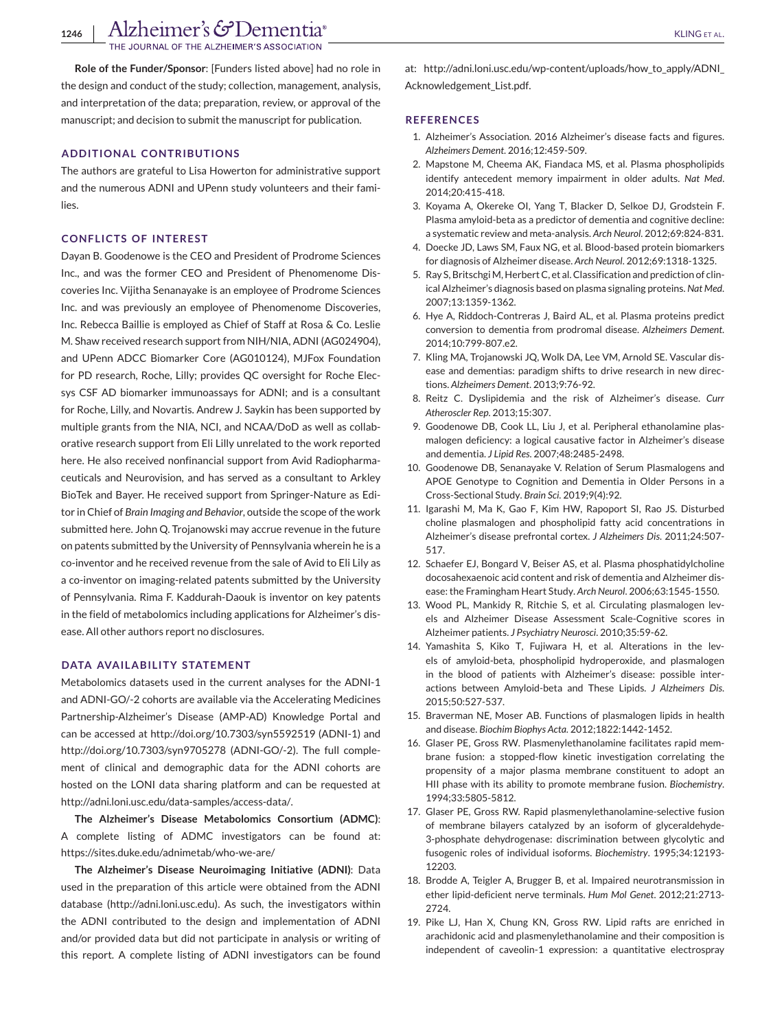**NURNAL OF THE ALZHEIMER'S ASSOCIATION** 

**Role of the Funder/Sponsor**: [Funders listed above] had no role in the design and conduct of the study; collection, management, analysis, and interpretation of the data; preparation, review, or approval of the manuscript; and decision to submit the manuscript for publication.

### **ADDITIONAL CONTRIBUTIONS**

The authors are grateful to Lisa Howerton for administrative support and the numerous ADNI and UPenn study volunteers and their families.

#### **CONFLICTS OF INTEREST**

Dayan B. Goodenowe is the CEO and President of Prodrome Sciences Inc., and was the former CEO and President of Phenomenome Discoveries Inc. Vijitha Senanayake is an employee of Prodrome Sciences Inc. and was previously an employee of Phenomenome Discoveries, Inc. Rebecca Baillie is employed as Chief of Staff at Rosa & Co. Leslie M. Shaw received research support from NIH/NIA, ADNI (AG024904), and UPenn ADCC Biomarker Core (AG010124), MJFox Foundation for PD research, Roche, Lilly; provides QC oversight for Roche Elecsys CSF AD biomarker immunoassays for ADNI; and is a consultant for Roche, Lilly, and Novartis. Andrew J. Saykin has been supported by multiple grants from the NIA, NCI, and NCAA/DoD as well as collaborative research support from Eli Lilly unrelated to the work reported here. He also received nonfinancial support from Avid Radiopharmaceuticals and Neurovision, and has served as a consultant to Arkley BioTek and Bayer. He received support from Springer-Nature as Editor in Chief of *Brain Imaging and Behavior*, outside the scope of the work submitted here. John Q. Trojanowski may accrue revenue in the future on patents submitted by the University of Pennsylvania wherein he is a co-inventor and he received revenue from the sale of Avid to Eli Lily as a co-inventor on imaging-related patents submitted by the University of Pennsylvania. Rima F. Kaddurah-Daouk is inventor on key patents in the field of metabolomics including applications for Alzheimer's disease. All other authors report no disclosures.

#### **DATA AVAILABILITY STATEMENT**

Metabolomics datasets used in the current analyses for the ADNI-1 and ADNI-GO/-2 cohorts are available via the Accelerating Medicines Partnership-Alzheimer's Disease (AMP-AD) Knowledge Portal and can be accessed at<http://doi.org/10.7303/syn5592519> (ADNI-1) and <http://doi.org/10.7303/syn9705278> (ADNI-GO/-2). The full complement of clinical and demographic data for the ADNI cohorts are hosted on the LONI data sharing platform and can be requested at [http://adni.loni.usc.edu/data-samples/access-data/.](http://adni.loni.usc.edu/data-samples/access-data/)

**The Alzheimer's Disease Metabolomics Consortium (ADMC)**: A complete listing of ADMC investigators can be found at: <https://sites.duke.edu/adnimetab/who-we-are/>

**The Alzheimer's Disease Neuroimaging Initiative (ADNI)**: Data used in the preparation of this article were obtained from the ADNI database [\(http://adni.loni.usc.edu\)](http://adni.loni.usc.edu). As such, the investigators within the ADNI contributed to the design and implementation of ADNI and/or provided data but did not participate in analysis or writing of this report. A complete listing of ADNI investigators can be found

at: http://adni.loni.usc.edu/wp-content/uploads/how to apply/ADNI [Acknowledgement\\_List.pdf.](http://adni.loni.usc.edu/wp-content/uploads/how_to_apply/ADNI_Acknowledgement_List.pdf)

#### **REFERENCES**

- 1. Alzheimer's Association. 2016 Alzheimer's disease facts and figures. *Alzheimers Dement*. 2016;12:459-509.
- 2. Mapstone M, Cheema AK, Fiandaca MS, et al. Plasma phospholipids identify antecedent memory impairment in older adults. *Nat Med*. 2014;20:415-418.
- 3. Koyama A, Okereke OI, Yang T, Blacker D, Selkoe DJ, Grodstein F. Plasma amyloid-beta as a predictor of dementia and cognitive decline: a systematic review and meta-analysis. *Arch Neurol*. 2012;69:824-831.
- 4. Doecke JD, Laws SM, Faux NG, et al. Blood-based protein biomarkers for diagnosis of Alzheimer disease. *Arch Neurol*. 2012;69:1318-1325.
- 5. Ray S, Britschgi M, Herbert C, et al. Classification and prediction of clinical Alzheimer's diagnosis based on plasma signaling proteins. *Nat Med*. 2007;13:1359-1362.
- 6. Hye A, Riddoch-Contreras J, Baird AL, et al. Plasma proteins predict conversion to dementia from prodromal disease. *Alzheimers Dement*. 2014;10:799-807.e2.
- 7. Kling MA, Trojanowski JQ, Wolk DA, Lee VM, Arnold SE. Vascular disease and dementias: paradigm shifts to drive research in new directions. *Alzheimers Dement*. 2013;9:76-92.
- 8. Reitz C. Dyslipidemia and the risk of Alzheimer's disease. *Curr Atheroscler Rep*. 2013;15:307.
- 9. Goodenowe DB, Cook LL, Liu J, et al. Peripheral ethanolamine plasmalogen deficiency: a logical causative factor in Alzheimer's disease and dementia. *J Lipid Res*. 2007;48:2485-2498.
- 10. Goodenowe DB, Senanayake V. Relation of Serum Plasmalogens and APOE Genotype to Cognition and Dementia in Older Persons in a Cross-Sectional Study. *Brain Sci*. 2019;9(4):92.
- 11. Igarashi M, Ma K, Gao F, Kim HW, Rapoport SI, Rao JS. Disturbed choline plasmalogen and phospholipid fatty acid concentrations in Alzheimer's disease prefrontal cortex. *J Alzheimers Dis*. 2011;24:507- 517.
- 12. Schaefer EJ, Bongard V, Beiser AS, et al. Plasma phosphatidylcholine docosahexaenoic acid content and risk of dementia and Alzheimer disease: the Framingham Heart Study. *Arch Neurol*. 2006;63:1545-1550.
- 13. Wood PL, Mankidy R, Ritchie S, et al. Circulating plasmalogen levels and Alzheimer Disease Assessment Scale-Cognitive scores in Alzheimer patients. *J Psychiatry Neurosci*. 2010;35:59-62.
- 14. Yamashita S, Kiko T, Fujiwara H, et al. Alterations in the levels of amyloid-beta, phospholipid hydroperoxide, and plasmalogen in the blood of patients with Alzheimer's disease: possible interactions between Amyloid-beta and These Lipids. *J Alzheimers Dis*. 2015;50:527-537.
- 15. Braverman NE, Moser AB. Functions of plasmalogen lipids in health and disease. *Biochim Biophys Acta*. 2012;1822:1442-1452.
- 16. Glaser PE, Gross RW. Plasmenylethanolamine facilitates rapid membrane fusion: a stopped-flow kinetic investigation correlating the propensity of a major plasma membrane constituent to adopt an HII phase with its ability to promote membrane fusion. *Biochemistry*. 1994;33:5805-5812.
- 17. Glaser PE, Gross RW. Rapid plasmenylethanolamine-selective fusion of membrane bilayers catalyzed by an isoform of glyceraldehyde-3-phosphate dehydrogenase: discrimination between glycolytic and fusogenic roles of individual isoforms. *Biochemistry*. 1995;34:12193- 12203.
- 18. Brodde A, Teigler A, Brugger B, et al. Impaired neurotransmission in ether lipid-deficient nerve terminals. *Hum Mol Genet*. 2012;21:2713- 2724.
- 19. Pike LJ, Han X, Chung KN, Gross RW. Lipid rafts are enriched in arachidonic acid and plasmenylethanolamine and their composition is independent of caveolin-1 expression: a quantitative electrospray